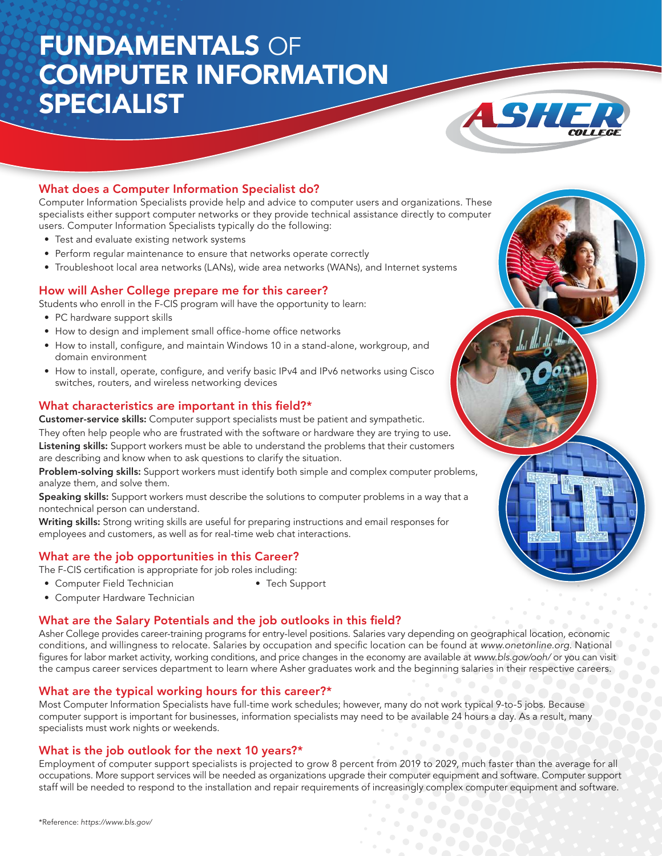# FUNDAMENTALS OF COMPUTER INFORMATION SPECIALIST



### What does a Computer Information Specialist do?

Computer Information Specialists provide help and advice to computer users and organizations. These specialists either support computer networks or they provide technical assistance directly to computer users. Computer Information Specialists typically do the following:

- Test and evaluate existing network systems
- Perform regular maintenance to ensure that networks operate correctly
- • Troubleshoot local area networks (LANs), wide area networks (WANs), and Internet systems

#### How will Asher College prepare me for this career?

Students who enroll in the F-CIS program will have the opportunity to learn:

- PC hardware support skills
- How to design and implement small office-home office networks
- How to install, configure, and maintain Windows 10 in a stand-alone, workgroup, and domain environment
- How to install, operate, configure, and verify basic IPv4 and IPv6 networks using Cisco switches, routers, and wireless networking devices

#### What characteristics are important in this field?\*

Customer-service skills: Computer support specialists must be patient and sympathetic.

They often help people who are frustrated with the software or hardware they are trying to use. Listening skills: Support workers must be able to understand the problems that their customers are describing and know when to ask questions to clarify the situation.

Problem-solving skills: Support workers must identify both simple and complex computer problems, analyze them, and solve them.

Speaking skills: Support workers must describe the solutions to computer problems in a way that a nontechnical person can understand.

Writing skills: Strong writing skills are useful for preparing instructions and email responses for employees and customers, as well as for real-time web chat interactions.

### What are the job opportunities in this Career?

The F-CIS certification is appropriate for job roles including:

- • Computer Field Technician • Tech Support
- Computer Hardware Technician

#### What are the Salary Potentials and the job outlooks in this field?

Asher College provides career-training programs for entry-level positions. Salaries vary depending on geographical location, economic conditions, and willingness to relocate. Salaries by occupation and specific location can be found at www.onetonline.org. National figures for labor market activity, working conditions, and price changes in the economy are available at www.bls.gov/ooh/ or you can visit the campus career services department to learn where Asher graduates work and the beginning salaries in their respective careers.

#### What are the typical working hours for this career?\*

Most Computer Information Specialists have full-time work schedules; however, many do not work typical 9-to-5 jobs. Because computer support is important for businesses, information specialists may need to be available 24 hours a day. As a result, many specialists must work nights or weekends.

#### What is the job outlook for the next 10 years?\*

Employment of computer support specialists is projected to grow 8 percent from 2019 to 2029, much faster than the average for all occupations. More support services will be needed as organizations upgrade their computer equipment and software. Computer support staff will be needed to respond to the installation and repair requirements of increasingly complex computer equipment and software.